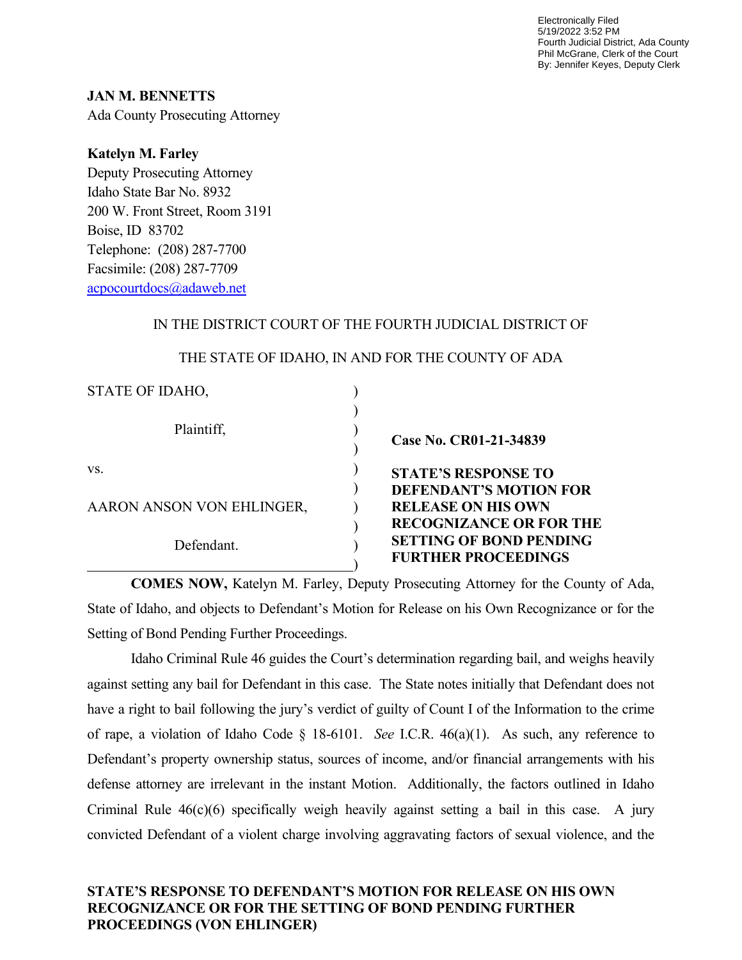Electronically Filed 5/19/2022 3:52 PM Fourth Judicial District, Ada County Phil McGrane, Clerk of the Court By: Jennifer Keyes, Deputy Clerk

**JAN M. BENNETTS**

Ada County Prosecuting Attorney

## **Katelyn M. Farley**

Deputy Prosecuting Attorney Idaho State Bar No. 8932 200 W. Front Street, Room 3191 Boise, ID 83702 Telephone: (208) 287-7700 Facsimile: (208) 287-7709 acpocourtdocs@adaweb.net

# IN THE DISTRICT COURT OF THE FOURTH JUDICIAL DISTRICT OF

| STATE OF IDAHO,           |                                                                                                |
|---------------------------|------------------------------------------------------------------------------------------------|
| Plaintiff,                | Case No. CR01-21-34839                                                                         |
| VS.                       | <b>STATE'S RESPONSE TO</b>                                                                     |
| AARON ANSON VON EHLINGER, | <b>DEFENDANT'S MOTION FOR</b><br><b>RELEASE ON HIS OWN</b>                                     |
| Defendant.                | <b>RECOGNIZANCE OR FOR THE</b><br><b>SETTING OF BOND PENDING</b><br><b>FURTHER PROCEEDINGS</b> |

## THE STATE OF IDAHO, IN AND FOR THE COUNTY OF ADA

**COMES NOW,** Katelyn M. Farley, Deputy Prosecuting Attorney for the County of Ada, State of Idaho, and objects to Defendant's Motion for Release on his Own Recognizance or for the Setting of Bond Pending Further Proceedings.

 Idaho Criminal Rule 46 guides the Court's determination regarding bail, and weighs heavily against setting any bail for Defendant in this case. The State notes initially that Defendant does not have a right to bail following the jury's verdict of guilty of Count I of the Information to the crime of rape, a violation of Idaho Code § 18-6101. *See* I.C.R. 46(a)(1). As such, any reference to Defendant's property ownership status, sources of income, and/or financial arrangements with his defense attorney are irrelevant in the instant Motion. Additionally, the factors outlined in Idaho Criminal Rule 46(c)(6) specifically weigh heavily against setting a bail in this case. A jury convicted Defendant of a violent charge involving aggravating factors of sexual violence, and the

## **STATE'S RESPONSE TO DEFENDANT'S MOTION FOR RELEASE ON HIS OWN RECOGNIZANCE OR FOR THE SETTING OF BOND PENDING FURTHER PROCEEDINGS (VON EHLINGER)**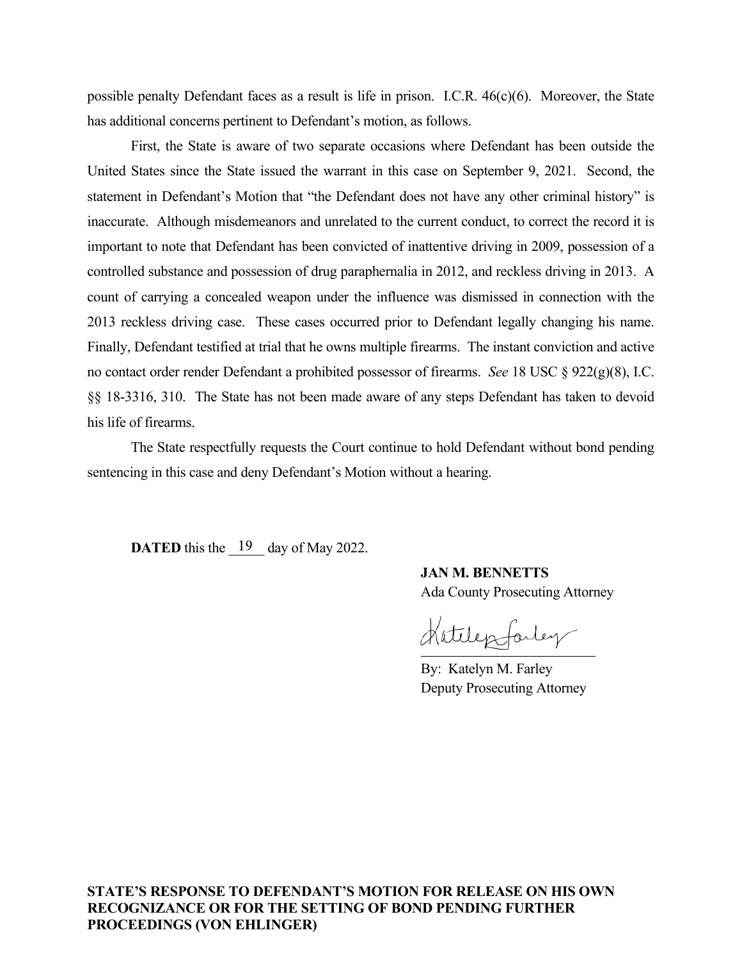possible penalty Defendant faces as a result is life in prison. I.C.R. 46(c)(6). Moreover, the State has additional concerns pertinent to Defendant's motion, as follows.

 First, the State is aware of two separate occasions where Defendant has been outside the United States since the State issued the warrant in this case on September 9, 2021. Second, the statement in Defendant's Motion that "the Defendant does not have any other criminal history" is inaccurate. Although misdemeanors and unrelated to the current conduct, to correct the record it is important to note that Defendant has been convicted of inattentive driving in 2009, possession of a controlled substance and possession of drug paraphernalia in 2012, and reckless driving in 2013. A count of carrying a concealed weapon under the influence was dismissed in connection with the 2013 reckless driving case. These cases occurred prior to Defendant legally changing his name. Finally, Defendant testified at trial that he owns multiple firearms. The instant conviction and active no contact order render Defendant a prohibited possessor of firearms. *See* 18 USC § 922(g)(8), I.C. §§ 18-3316, 310. The State has not been made aware of any steps Defendant has taken to devoid his life of firearms.

 The State respectfully requests the Court continue to hold Defendant without bond pending sentencing in this case and deny Defendant's Motion without a hearing.

**DATED** this the  $19$  day of May 2022.

 **JAN M. BENNETTS**  Ada County Prosecuting Attorney

Hitelepfarley

 By: Katelyn M. Farley Deputy Prosecuting Attorney